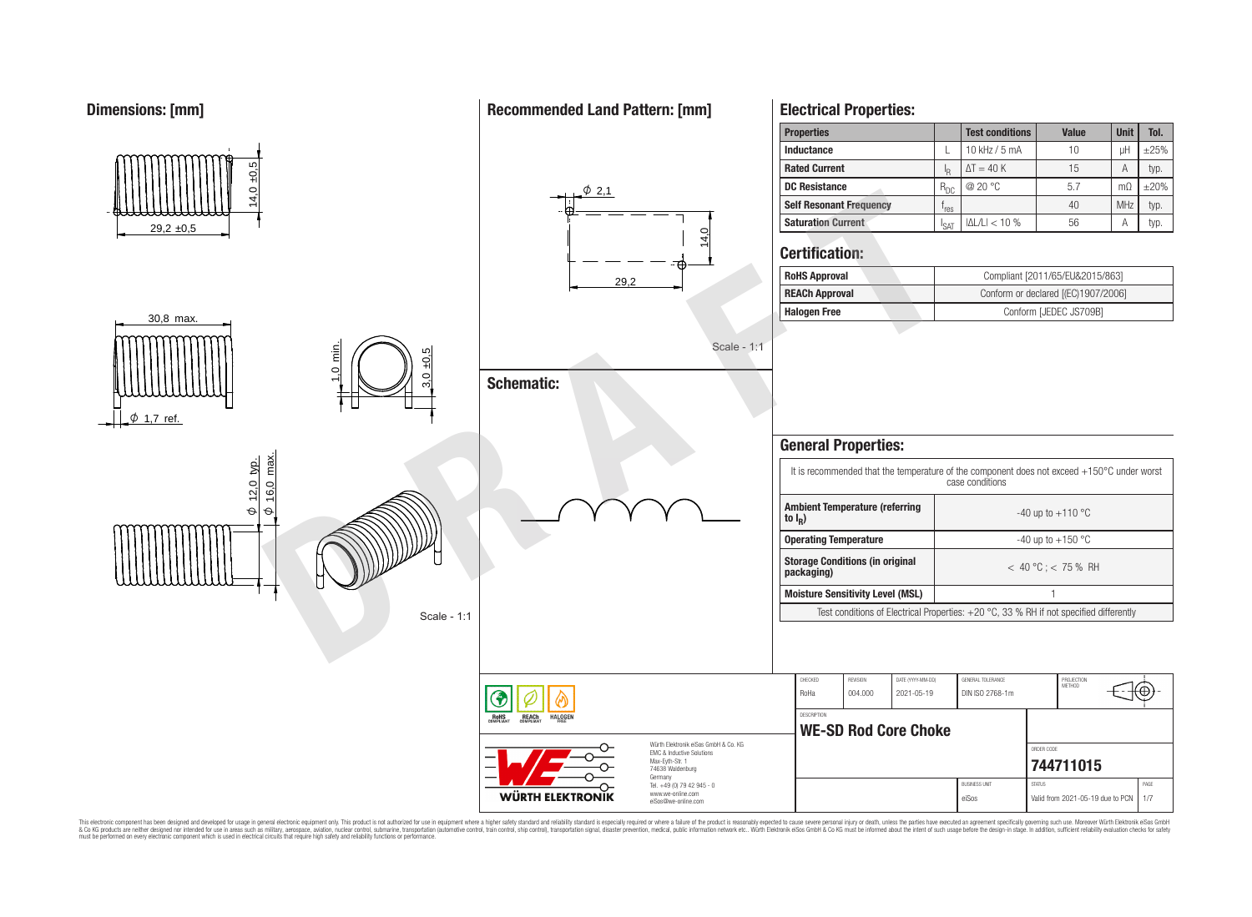**Dimensions: [mm] Recommended Land Pattern: [mm] Electrical Properties: Properties Test conditions Value Unit Tol. Inductance**  $\left| \begin{array}{ccc} \text{L} & 10 \text{ kHz} / 5 \text{ mA} & 10 \end{array} \right|$  uH  $\left| \begin{array}{ccc} \pm 25\% & -10 \end{array} \right|$  $4,0 +0,5$ **Rated Current**  $\Delta T = 40 \text{ K}$  15 A typ.  $R_{DC}$ **DC Resistance** R<sub>DC</sub> @ 20 °C 5.7 mΩ ±20%  $\phi$  2.1 For the second term of the control of the second term of the control of the control of the control of the control of the control of the control of the control of the control of the control of the control of the control of **Self Resonant Frequency**  $f_{res}$  $r_{res}$  40 MHz typ.  $|\Delta L/L| < 10\%$  56 A typ. **Saturation Current** I I<sub>SAT</sub>  $29.2 \pm 0.5$ 14,0 **Certification: RoHS Approval Compliant [2011/65/EU&2015/863]** 29,2 **REACh Approval** Conform or declared [(EC)1907/2006] **Halogen Free** Conform [JEDEC JS709B] 30,8 max. Scale - 1:1 1,0 min. 3,0 ±0,5 **Schematic:**  $\phi$  1,7 ref **General Properties:**  $\frac{\varphi}{\sqrt{16}}$  max.  $\frac{\varphi$  12,0 typ. It is recommended that the temperature of the component does not exceed +150°C under worst case conditions 이<br>인 16,0 **Ambient Temperature (referring**  $\Theta$  $\Theta$  $-40$  up to  $+110$  °C **to I<sup>R</sup> ) Operating Temperature discriming Temperature**  $-40 \text{ up to } +150 \text{ °C}$ **Storage Conditions (in original packaging)** < 40 °C ; < 75 % RH **Moisture Sensitivity Level (MSL)** 1 Test conditions of Electrical Properties: +20 °C, 33 % RH if not specified differently Scale - 1:1 CHECKED REVISION DATE (YYYY-MM-DD) GENERAL TOLERANCE PROJECTION<br>METHOD Έ RoHa 004.000 2021-05-19 DIN ISO 2768-1m **DESCRIPTION** RoH<sub>S</sub> **REACh** HALOGEI **WE-SD Rod Core Choke** Würth Elektronik eiSos GmbH & Co. KG ORDER CODE EMC & Inductive Solutions Max-Eyth-Str. 1 **[744711015](https://www.we-online.com/catalog/en/article/744711015)** 74638 Waldenburg Germany

This electronic component has been designed and developed for usage in general electronic equipment only. This product is not authorized for use in equipment where a higher safely standard and reliability standard si espec & Ook product a label and the membed of the seasuch as marked and as which such a membed and the such assume that income in the seasuch and the simulation and the such assume that include to the such a membed and the such

**WÜRTH ELEKTRONIK** 

Tel. +49 (0) 79 42 945 - 0 www.we-online.com eiSos@we-online.com

BUSINESS UNIT STATUS STATUS STATUS AND STATUS AND STATUS STATUS STATUS AND STATUS STATUS STATUS STATUS AND STATUS STATUS AND STATUS AND STATUS AND STATUS AND STATUS AND STATUS AND STATUS AND STATUS AND STATUS AND STATUS AN eiSos Valid from 2021-05-19 due to PCN 1/7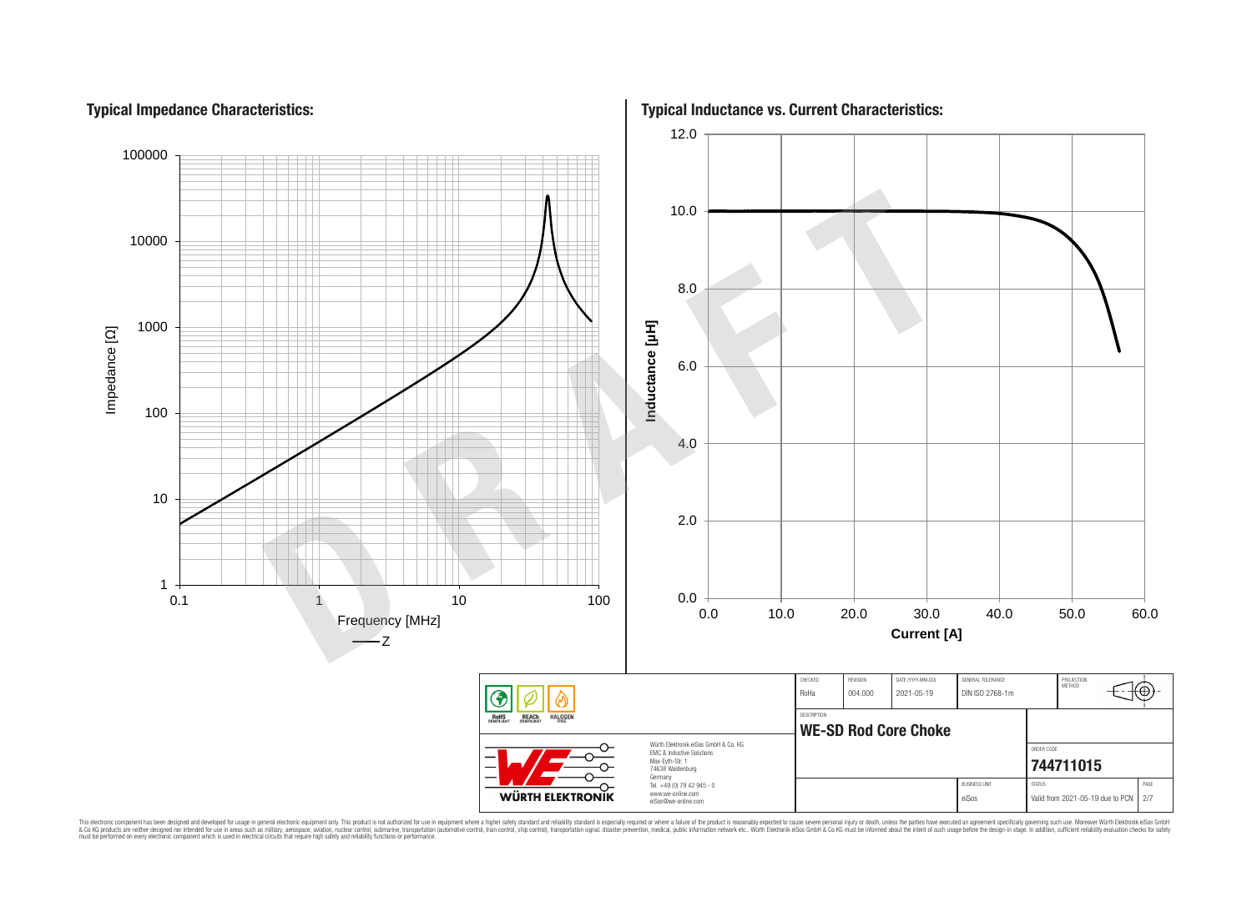# **Typical Impedance Characteristics:**



This electronic component has been designed and developed for usage in general electronic equipment only. This product is not authorized for subserved requipment where a higher selection equipment where a higher selection

**Typical Inductance vs. Current Characteristics:**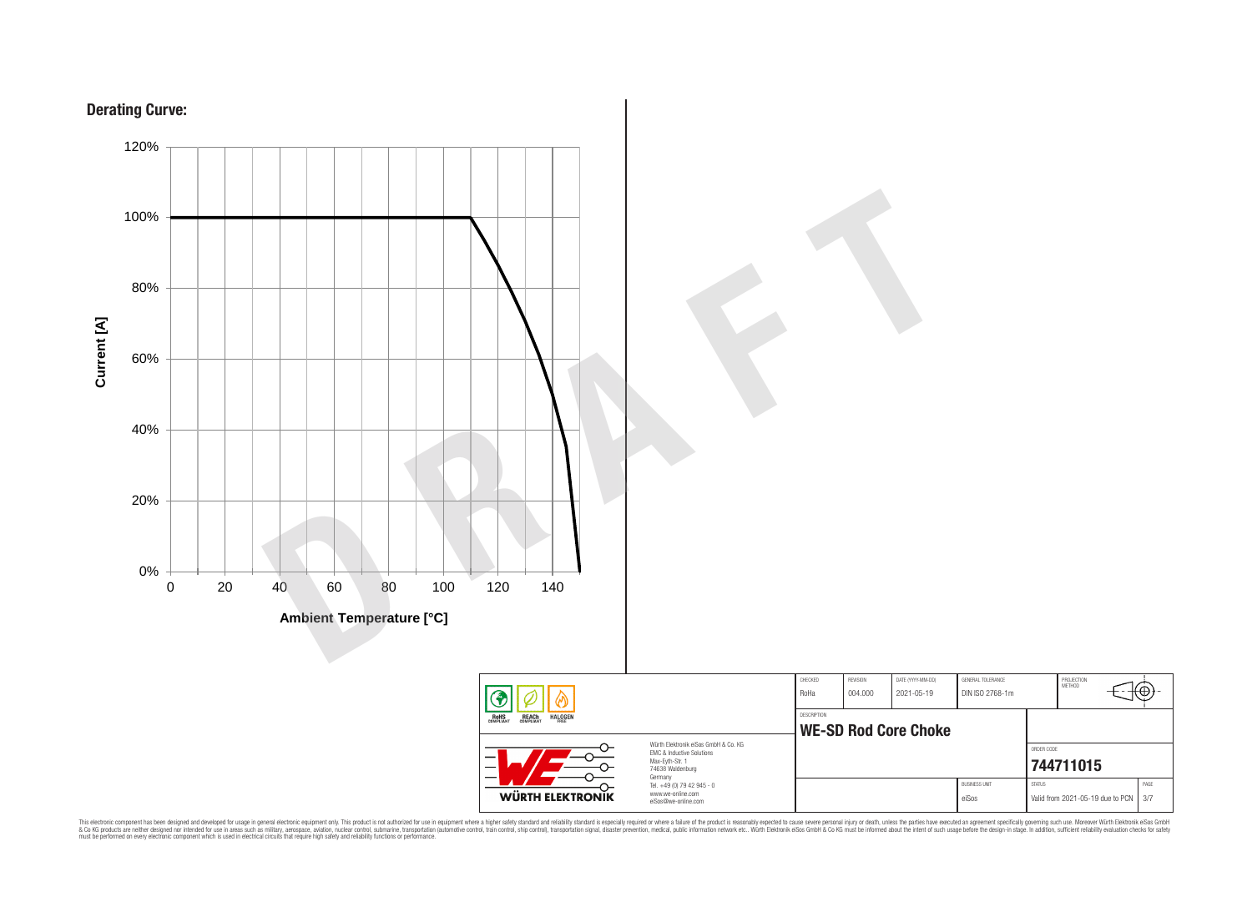



This electronic component has been designed and developed for usage in general electronic equipment only. This product is not authorized for subserved requipment where a higher selection equipment where a higher selection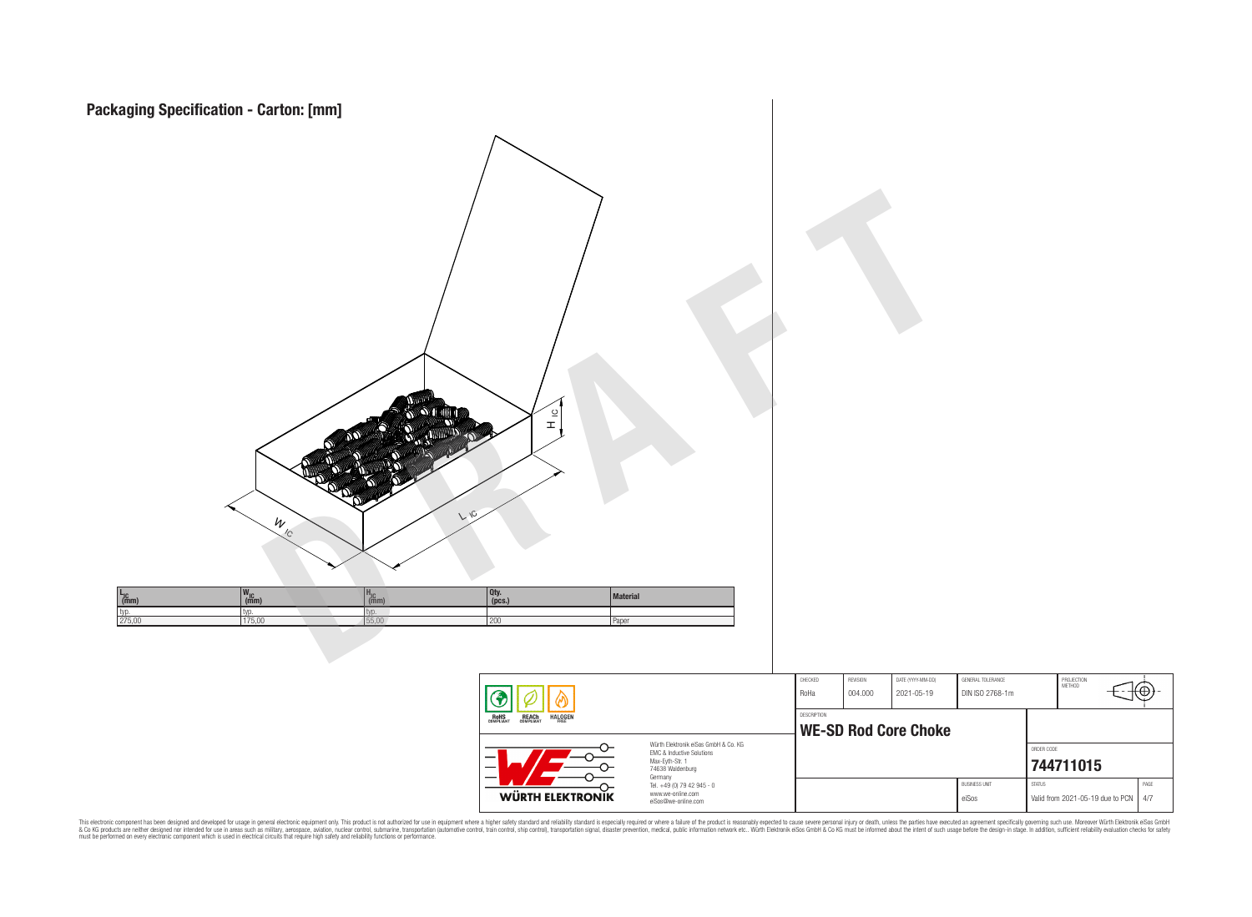

This electronic component has been designed and developed for usage in general electronic equipment only. This product is not authorized for subserved requipment where a higher selection equipment where a higher selection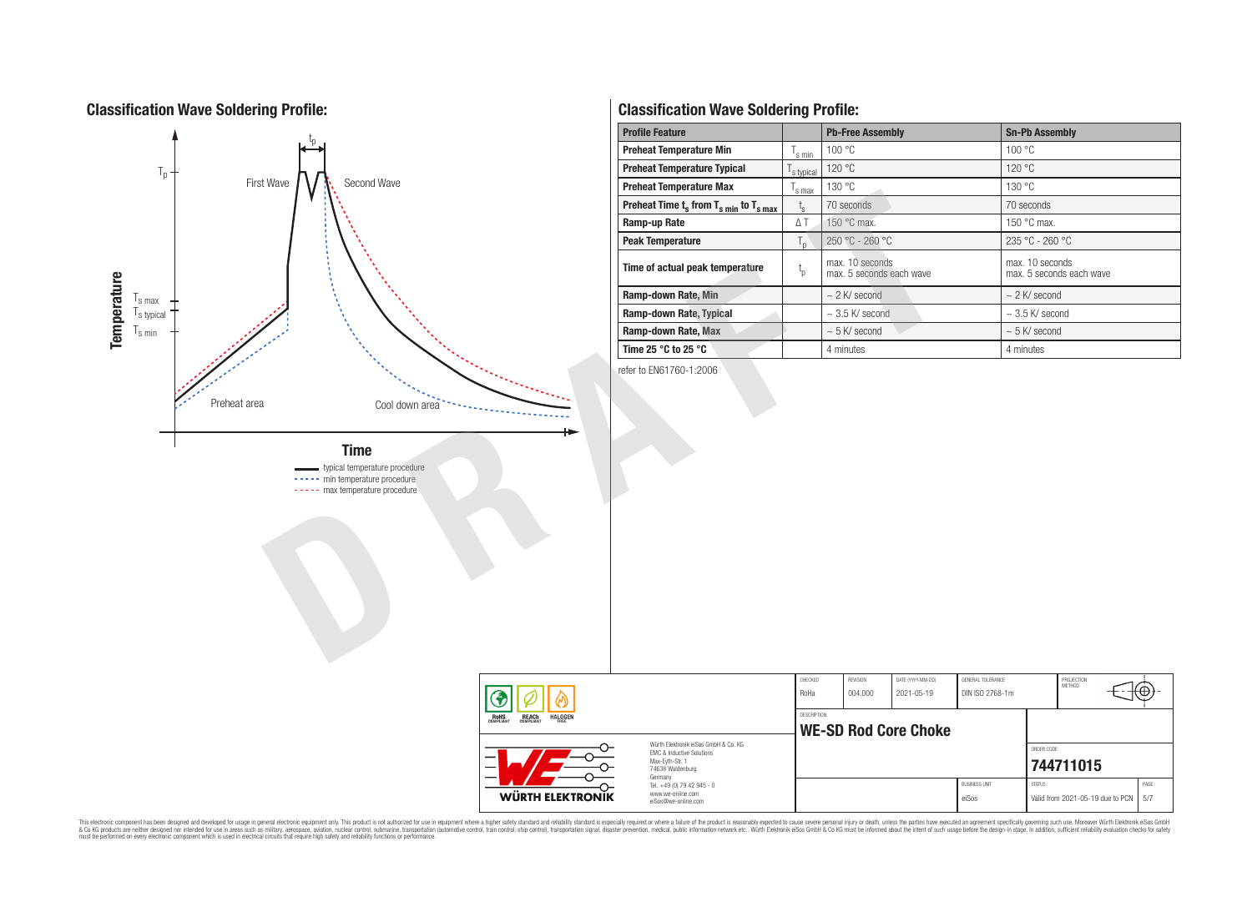# **Classification Wave Soldering Profile:**



# **Classification Wave Soldering Profile:**

| <b>Profile Feature</b>                             |                    | <b>Pb-Free Assembly</b>                     | <b>Sn-Pb Assembly</b>                       |  |  |  |
|----------------------------------------------------|--------------------|---------------------------------------------|---------------------------------------------|--|--|--|
| <b>Preheat Temperature Min</b>                     | l <sub>s min</sub> | 100 °C                                      | 100 °C                                      |  |  |  |
| <b>Preheat Temperature Typical</b>                 | s typical          | 120 °C                                      | 120 °C                                      |  |  |  |
| <b>Preheat Temperature Max</b>                     | s max              | 130 °C                                      | 130 °C                                      |  |  |  |
| Preheat Time $t_s$ from $T_{s,min}$ to $T_{s,max}$ | $t_{s}$            | 70 seconds                                  | 70 seconds                                  |  |  |  |
| Ramp-up Rate                                       | ΔT                 | 150 °C max.                                 | 150 $\degree$ C max.                        |  |  |  |
| <b>Peak Temperature</b>                            | $T_{n}$            | 250 °C - 260 °C                             | $235 °C - 260 °C$                           |  |  |  |
| Time of actual peak temperature                    | $t_{p}$            | max. 10 seconds<br>max. 5 seconds each wave | max. 10 seconds<br>max. 5 seconds each wave |  |  |  |
| Ramp-down Rate, Min                                |                    | $\sim$ 2 K/ second                          | $\sim$ 2 K/ second                          |  |  |  |
| Ramp-down Rate, Typical                            |                    | $\sim$ 3.5 K/ second                        | $\sim$ 3.5 K/ second                        |  |  |  |
| Ramp-down Rate, Max                                |                    | $\sim$ 5 K/ second                          | $\sim$ 5 K/ second                          |  |  |  |
| Time 25 $\degree$ C to 25 $\degree$ C              |                    | 4 minutes                                   | 4 minutes                                   |  |  |  |

refer to EN61760-1:2006

|                                                                                                                                                                                                           |                                                                        | CHECKED<br>RoHa                            | REVISION<br>004.000 | DATE (YYYY-MM-DD)<br>2021-05-19 | <b>GENERAL TOLERANCE</b><br>DIN ISO 2768-1m |               | PROJECTION<br>METHOD.                  | ťΨ   |  |
|-----------------------------------------------------------------------------------------------------------------------------------------------------------------------------------------------------------|------------------------------------------------------------------------|--------------------------------------------|---------------------|---------------------------------|---------------------------------------------|---------------|----------------------------------------|------|--|
| <b>REACH</b><br>COMPLIANT<br><b>HALOGEN</b><br><b>ROHS</b><br>COMPLIANT<br>Würth Elektronik eiSos GmbH & Co. KG<br><b>EMC &amp; Inductive Solutions</b><br>Max-Eyth-Str. 1<br>74638 Waldenburg<br>Germany |                                                                        | DESCRIPTION<br><b>WE-SD Rod Core Choke</b> |                     |                                 |                                             |               |                                        |      |  |
|                                                                                                                                                                                                           |                                                                        |                                            |                     |                                 |                                             | ORDER CODE    | 744711015                              |      |  |
| <b>WÜRTH ELEKTRONIK</b>                                                                                                                                                                                   | Tel. +49 (0) 79 42 945 - 0<br>www.we-online.com<br>eiSos@we-online.com |                                            |                     |                                 | <b>BUSINESS UNIT</b><br>eiSos               | <b>STATUS</b> | Valid from 2021-05-19 due to PCN   5/7 | PAGE |  |

This electronic component has been designed and developed for usage in general electronic equipment only. This product is not authorized for subserved requipment where a higher selection equipment where a higher selection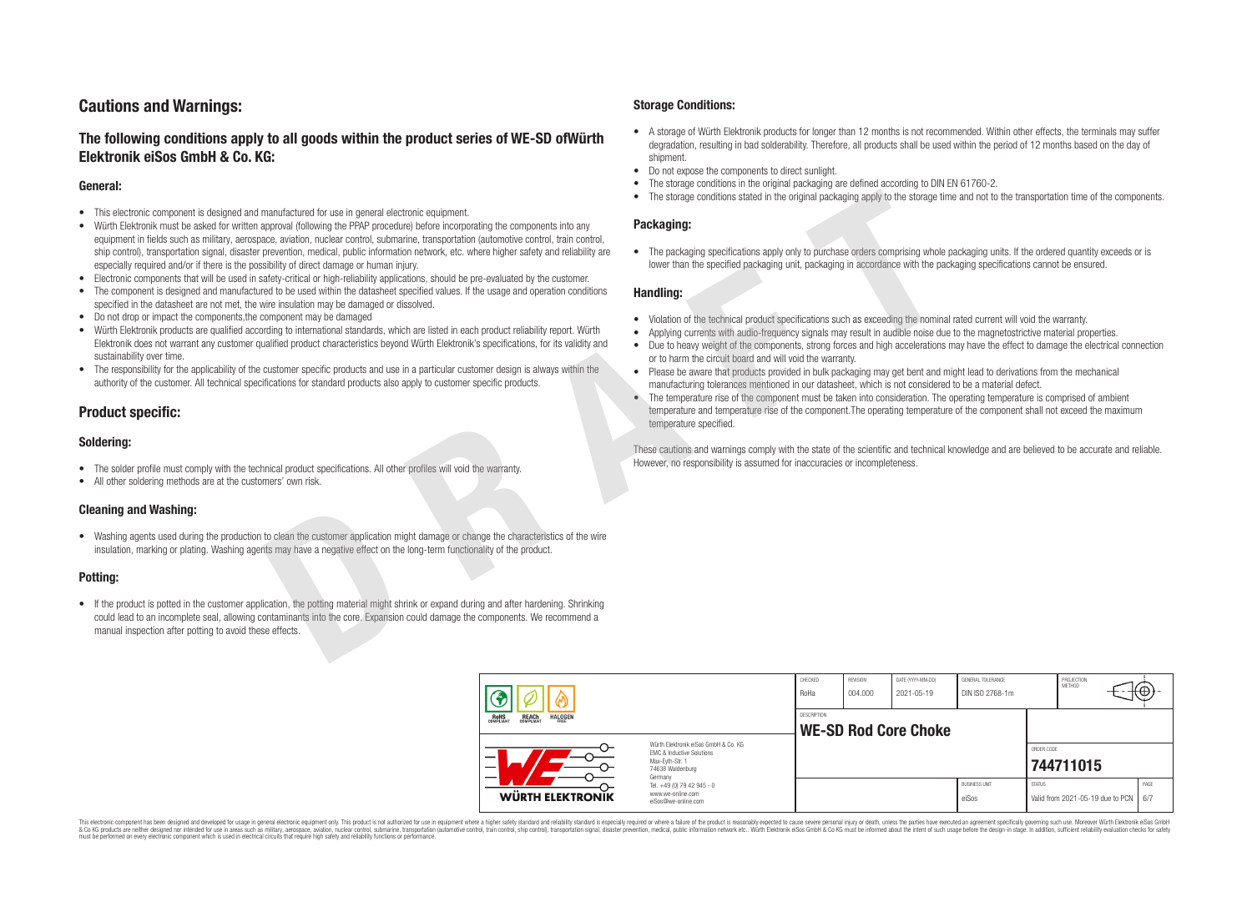# **Cautions and Warnings:**

# **The following conditions apply to all goods within the product series of WE-SD ofWürth Elektronik eiSos GmbH & Co. KG:**

## **General:**

- This electronic component is designed and manufactured for use in general electronic equipment.
- Würth Elektronik must be asked for written approval (following the PPAP procedure) before incorporating the components into any equipment in fields such as military, aerospace, aviation, nuclear control, submarine, transportation (automotive control, train control, ship control), transportation signal, disaster prevention, medical, public information network, etc. where higher safety and reliability are especially required and/or if there is the possibility of direct damage or human injury. manulactural or use in general electronic coulment.<br>
approximate a strengthenometric activities of the concernent and the content of the content of the content of<br>
and intervention and the property of the content of the co
- Electronic components that will be used in safety-critical or high-reliability applications, should be pre-evaluated by the customer.
- The component is designed and manufactured to be used within the datasheet specified values. If the usage and operation conditions specified in the datasheet are not met, the wire insulation may be damaged or dissolved.
- Do not drop or impact the components,the component may be damaged
- Würth Elektronik products are qualified according to international standards, which are listed in each product reliability report. Würth Elektronik does not warrant any customer qualified product characteristics beyond Würth Elektronik's specifications, for its validity and sustainability over time.
- The responsibility for the applicability of the customer specific products and use in a particular customer design is always within the authority of the customer. All technical specifications for standard products also apply to customer specific products.

# **Product specific:**

# **Soldering:**

- The solder profile must comply with the technical product specifications. All other profiles will void the warranty.
- All other soldering methods are at the customers' own risk.

## **Cleaning and Washing:**

• Washing agents used during the production to clean the customer application might damage or change the characteristics of the wire insulation, marking or plating. Washing agents may have a negative effect on the long-term functionality of the product.

## **Potting:**

• If the product is potted in the customer application, the potting material might shrink or expand during and after hardening. Shrinking could lead to an incomplete seal, allowing contaminants into the core. Expansion could damage the components. We recommend a manual inspection after potting to avoid these effects.

## **Storage Conditions:**

- A storage of Würth Elektronik products for longer than 12 months is not recommended. Within other effects, the terminals may suffer degradation, resulting in bad solderability. Therefore, all products shall be used within the period of 12 months based on the day of shipment.
- Do not expose the components to direct sunlight.<br>• The storage conditions in the original packaging
- The storage conditions in the original packaging are defined according to DIN EN 61760-2.
- The storage conditions stated in the original packaging apply to the storage time and not to the transportation time of the components.

## **Packaging:**

• The packaging specifications apply only to purchase orders comprising whole packaging units. If the ordered quantity exceeds or is lower than the specified packaging unit, packaging in accordance with the packaging specifications cannot be ensured.

#### **Handling:**

- Violation of the technical product specifications such as exceeding the nominal rated current will void the warranty.
- Applying currents with audio-frequency signals may result in audible noise due to the magnetostrictive material properties.
- Due to heavy weight of the components, strong forces and high accelerations may have the effect to damage the electrical connection or to harm the circuit board and will void the warranty.
- Please be aware that products provided in bulk packaging may get bent and might lead to derivations from the mechanical manufacturing tolerances mentioned in our datasheet, which is not considered to be a material defect.
- The temperature rise of the component must be taken into consideration. The operating temperature is comprised of ambient temperature and temperature rise of the component.The operating temperature of the component shall not exceed the maximum temperature specified.

These cautions and warnings comply with the state of the scientific and technical knowledge and are believed to be accurate and reliable. However, no responsibility is assumed for inaccuracies or incompleteness.

|                                                                                                                                                                                                              |                                                                        | CHECKED<br>RoHa    | REVISION<br>004.000 | DATE (YYYY-MM-DD)<br>2021-05-19 | GENERAL TOLERANCE<br>DIN ISO 2768-1m |               | PROJECTION<br>METHOD                   | ι€Θ  |
|--------------------------------------------------------------------------------------------------------------------------------------------------------------------------------------------------------------|------------------------------------------------------------------------|--------------------|---------------------|---------------------------------|--------------------------------------|---------------|----------------------------------------|------|
| <b>REACH</b><br>COMPLIANT<br><b>HALOGEN</b><br>ROHS<br>COMPLIANT<br>Würth Elektronik eiSos GmbH & Co. KG<br><b>EMC &amp; Inductive Solutions</b><br>—<br>Max-Eyth-Str. 1<br>_<br>74638 Waldenburg<br>Germany |                                                                        | <b>DESCRIPTION</b> |                     | <b>WE-SD Rod Core Choke</b>     |                                      |               |                                        |      |
|                                                                                                                                                                                                              |                                                                        |                    |                     |                                 |                                      | ORDER CODE    | 744711015                              |      |
| <b>WÜRTH ELEKTRONIK</b>                                                                                                                                                                                      | Tel. +49 (0) 79 42 945 - 0<br>www.we-online.com<br>eiSos@we-online.com |                    |                     |                                 | <b>BUSINESS UNIT</b><br>eiSos        | <b>STATUS</b> | Valid from 2021-05-19 due to PCN   6/7 | PAGE |

This electronic component has been designed and developed for usage in general electronic equipment only. This product is not authorized for use in equipment where a higher safety standard and reliability standard si espec & Ook product a label and the membed of the seasuch as marked and as which such a membed and the such assume that income in the seasuch and the simulation and the such assume that include to the such a membed and the such